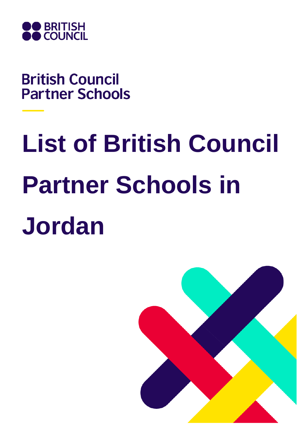

**British Council Partner Schools** 

## **List of British Council Partner Schools in Jordan**

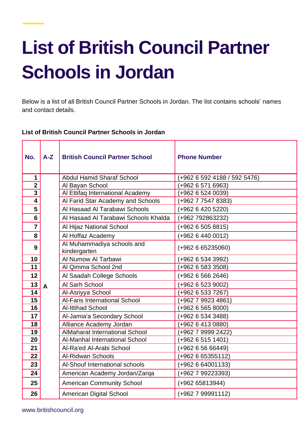## **List of British Council Partner Schools in Jordan**

Below is a list of all British Council Partner Schools in Jordan. The list contains schools' names and contact details.

## **List of British Council Partner Schools in Jordan**

| No.                     | $A-Z$        | <b>British Council Partner School</b>      | <b>Phone Number</b>          |
|-------------------------|--------------|--------------------------------------------|------------------------------|
| $\mathbf 1$             |              | <b>Abdul Hamid Sharaf School</b>           | (+962 6 592 4188 / 592 5476) |
| $\overline{2}$          |              | Al Bayan School                            | (+962 6 571 6963)            |
| $\overline{\mathbf{3}}$ |              | Al Ettifaq International Academy           | (+962 6 524 0039)            |
| 4                       |              | Al Farid Star Academy and Schools          | (+962 7 7547 8383)           |
| 5                       |              | Al Hasaad Al Tarabawi Schools              | (+962 6 420 5220)            |
| $6\phantom{a}$          |              | Al Hasaad Al Tarabawi Schools Khalda       | (+962 792863232)             |
| $\overline{7}$          |              | Al Hijaz National School                   | $(+962 6 505 8815)$          |
| 8                       |              | Al Hoffaz Academy                          | (+962 6 440 0012)            |
| 9                       |              | Al Muhammadiya schools and<br>kindergarten | $(+962 6 65235060)$          |
| 10                      |              | Al Numow Al Tarbawi                        | (+962 6 534 3992)            |
| 11                      |              | Al Qimma School 2nd                        | (+962 6 583 3508)            |
| 12                      |              | Al Saadah College Schools                  | (+962 6 566 2646)            |
| 13                      | $\mathsf{A}$ | Al Sarh School                             | (+962 6 523 9002)            |
| 14                      |              | Al-Asriyya School                          | (+962 6 533 7267)            |
| 15                      |              | <b>Al-Faris International School</b>       | (+962 7 9923 4861)           |
| 16                      |              | <b>Al-Ittihad School</b>                   | (+962 6 565 8000)            |
| 17                      |              | Al-Jamia'a Secondary School                | (+962 6 534 3488)            |
| 18                      |              | Alliance Academy Jordan                    | (+962 6 413 0880)            |
| 19                      |              | <b>AlMaharat International School</b>      | (+962 7 9999 2422)           |
| 20                      |              | Al-Manhal International School             | (+962 6 515 1401)            |
| 21                      |              | Al-Ra'ed Al-Arabi School                   | (+962 6 56 66449)            |
| 22                      |              | <b>Al-Ridwan Schools</b>                   | (+962 6 65355112)            |
| 23                      |              | Al-Shouf International schools             | (+962 6 64001133)            |
| 24                      |              | American Academy Jordan/Zarqa              | (+962 7 99223393)            |
| 25                      |              | <b>American Community School</b>           | (+962 65813944)              |
| 26                      |              | <b>American Digital School</b>             | (+962 7 99991112)            |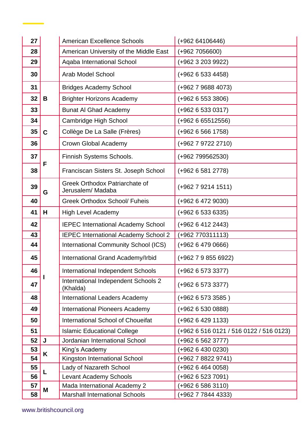| 27 |             | <b>American Excellence Schools</b>                 | (+962 64106446)                         |
|----|-------------|----------------------------------------------------|-----------------------------------------|
| 28 |             | American University of the Middle East             | $(+9627056600)$                         |
| 29 |             | Aqaba International School                         | (+962 3 203 9922)                       |
| 30 |             | <b>Arab Model School</b>                           | (+962 6 533 4458)                       |
| 31 | B           | <b>Bridges Academy School</b>                      | (+962 7 9688 4073)                      |
| 32 |             | <b>Brighter Horizons Academy</b>                   | $(+962 6 553 3806)$                     |
| 33 |             | <b>Bunat AI Ghad Academy</b>                       | $(+962 6 533 0317)$                     |
| 34 | $\mathbf C$ | Cambridge High School                              | $(+962 6 65512556)$                     |
| 35 |             | Collège De La Salle (Frères)                       | $(+962 6 566 1758)$                     |
| 36 |             | Crown Global Academy                               | (+962 7 9722 2710)                      |
| 37 | F           | Finnish Systems Schools.                           | (+962 799562530)                        |
| 38 |             | Franciscan Sisters St. Joseph School               | $(+962 6 581 2778)$                     |
| 39 | G           | Greek Orthodox Patriarchate of<br>Jerusalem/Madaba | $(+962792141511)$                       |
| 40 |             | <b>Greek Orthodox School/ Fuheis</b>               | (+962 6 472 9030)                       |
| 41 | H           | <b>High Level Academy</b>                          | (+962 6 533 6335)                       |
| 42 |             | <b>IEPEC International Academy School</b>          | $(+962 6 412 2443)$                     |
| 43 |             | IEPEC International Academy School 2               | (+962 770311113)                        |
| 44 |             | International Community School (ICS)               | $(+962 6 479 0666)$                     |
| 45 |             | International Grand Academy/Irbid                  | $(+96279856922)$                        |
| 46 |             | International Independent Schools                  | (+962 6 573 3377)                       |
| 47 |             |                                                    |                                         |
|    |             | International Independent Schools 2<br>(Khalda)    | (+962 6 573 3377)                       |
| 48 |             | <b>International Leaders Academy</b>               | (+962 6 573 3585)                       |
| 49 |             | <b>International Pioneers Academy</b>              | (+962 6 530 0888)                       |
| 50 |             | <b>International School of Choueifat</b>           | (+962 6 429 1133)                       |
| 51 |             | <b>Islamic Educational College</b>                 | (+962 6 516 0121 / 516 0122 / 516 0123) |
| 52 | J           | Jordanian International School                     | (+962 6 562 3777)                       |
| 53 |             | King's Academy                                     | (+962 6 430 0230)                       |
| 54 | K           | Kingston International School                      | (+962 7 8822 9741)                      |
| 55 |             | Lady of Nazareth School                            | (+962 6 464 0058)                       |
| 56 | L           | Levant Academy Schools                             | (+962 6 523 7091)                       |
| 57 | M           | Mada International Academy 2                       | $(+962 6 586 3110)$                     |